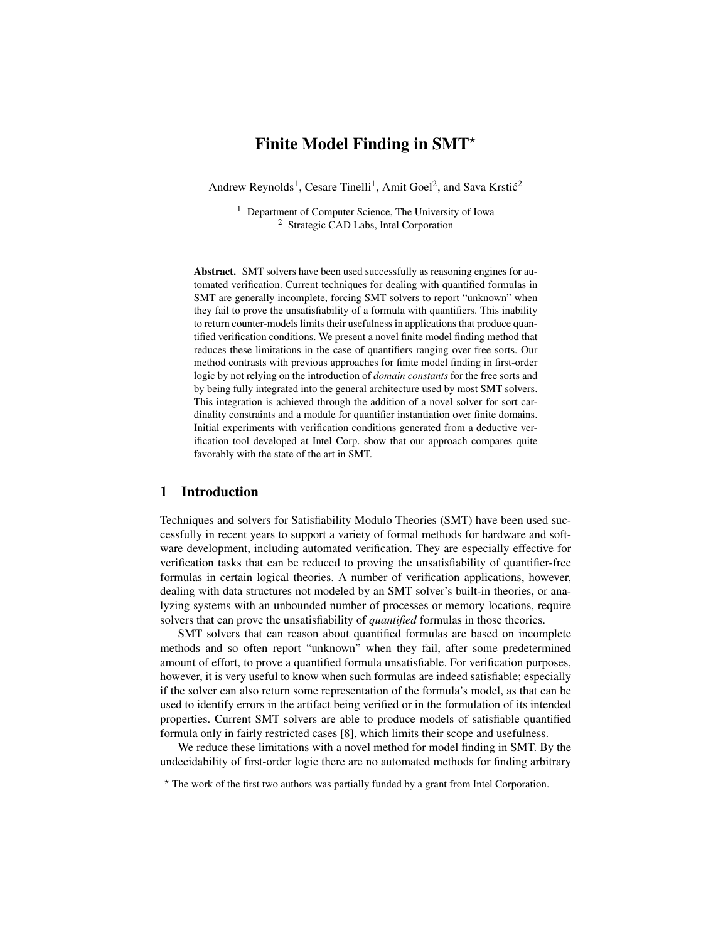# Finite Model Finding in SMT?

Andrew Reynolds<sup>1</sup>, Cesare Tinelli<sup>1</sup>, Amit Goel<sup>2</sup>, and Sava Krstić<sup>2</sup>

<sup>1</sup> Department of Computer Science, The University of Iowa <sup>2</sup> Strategic CAD Labs, Intel Corporation

Abstract. SMT solvers have been used successfully as reasoning engines for automated verification. Current techniques for dealing with quantified formulas in SMT are generally incomplete, forcing SMT solvers to report "unknown" when they fail to prove the unsatisfiability of a formula with quantifiers. This inability to return counter-models limits their usefulness in applications that produce quantified verification conditions. We present a novel finite model finding method that reduces these limitations in the case of quantifiers ranging over free sorts. Our method contrasts with previous approaches for finite model finding in first-order logic by not relying on the introduction of *domain constants* for the free sorts and by being fully integrated into the general architecture used by most SMT solvers. This integration is achieved through the addition of a novel solver for sort cardinality constraints and a module for quantifier instantiation over finite domains. Initial experiments with verification conditions generated from a deductive verification tool developed at Intel Corp. show that our approach compares quite favorably with the state of the art in SMT.

## 1 Introduction

Techniques and solvers for Satisfiability Modulo Theories (SMT) have been used successfully in recent years to support a variety of formal methods for hardware and software development, including automated verification. They are especially effective for verification tasks that can be reduced to proving the unsatisfiability of quantifier-free formulas in certain logical theories. A number of verification applications, however, dealing with data structures not modeled by an SMT solver's built-in theories, or analyzing systems with an unbounded number of processes or memory locations, require solvers that can prove the unsatisfiability of *quantified* formulas in those theories.

SMT solvers that can reason about quantified formulas are based on incomplete methods and so often report "unknown" when they fail, after some predetermined amount of effort, to prove a quantified formula unsatisfiable. For verification purposes, however, it is very useful to know when such formulas are indeed satisfiable; especially if the solver can also return some representation of the formula's model, as that can be used to identify errors in the artifact being verified or in the formulation of its intended properties. Current SMT solvers are able to produce models of satisfiable quantified formula only in fairly restricted cases [8], which limits their scope and usefulness.

We reduce these limitations with a novel method for model finding in SMT. By the undecidability of first-order logic there are no automated methods for finding arbitrary

<sup>?</sup> The work of the first two authors was partially funded by a grant from Intel Corporation.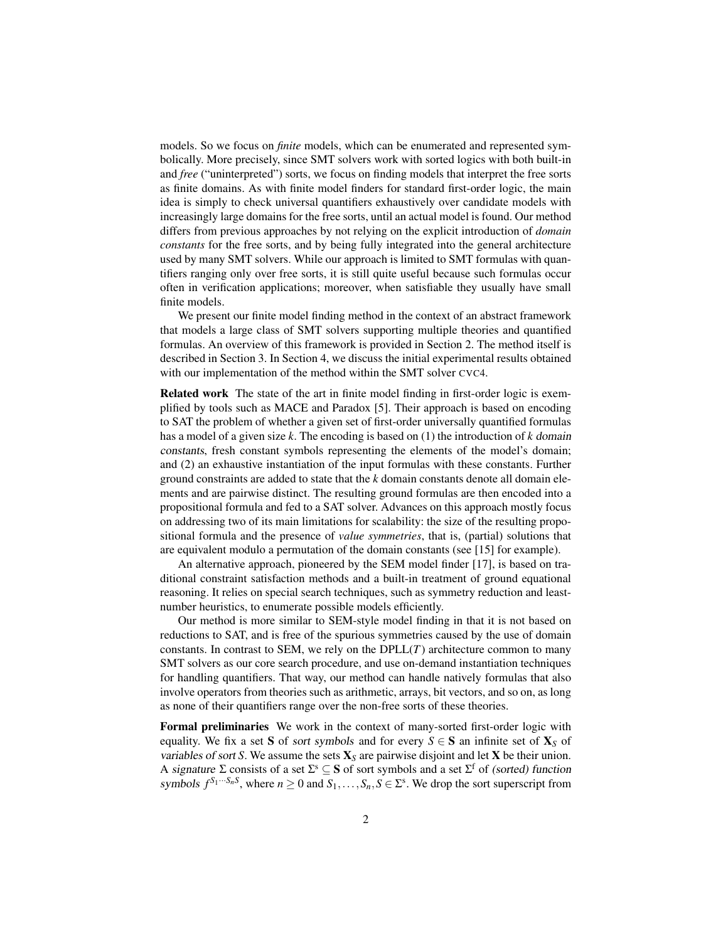models. So we focus on *finite* models, which can be enumerated and represented symbolically. More precisely, since SMT solvers work with sorted logics with both built-in and *free* ("uninterpreted") sorts, we focus on finding models that interpret the free sorts as finite domains. As with finite model finders for standard first-order logic, the main idea is simply to check universal quantifiers exhaustively over candidate models with increasingly large domains for the free sorts, until an actual model is found. Our method differs from previous approaches by not relying on the explicit introduction of *domain constants* for the free sorts, and by being fully integrated into the general architecture used by many SMT solvers. While our approach is limited to SMT formulas with quantifiers ranging only over free sorts, it is still quite useful because such formulas occur often in verification applications; moreover, when satisfiable they usually have small finite models.

We present our finite model finding method in the context of an abstract framework that models a large class of SMT solvers supporting multiple theories and quantified formulas. An overview of this framework is provided in Section 2. The method itself is described in Section 3. In Section 4, we discuss the initial experimental results obtained with our implementation of the method within the SMT solver CVC4.

Related work The state of the art in finite model finding in first-order logic is exemplified by tools such as MACE and Paradox [5]. Their approach is based on encoding to SAT the problem of whether a given set of first-order universally quantified formulas has a model of a given size *k*. The encoding is based on (1) the introduction of *k* domain constants, fresh constant symbols representing the elements of the model's domain; and (2) an exhaustive instantiation of the input formulas with these constants. Further ground constraints are added to state that the *k* domain constants denote all domain elements and are pairwise distinct. The resulting ground formulas are then encoded into a propositional formula and fed to a SAT solver. Advances on this approach mostly focus on addressing two of its main limitations for scalability: the size of the resulting propositional formula and the presence of *value symmetries*, that is, (partial) solutions that are equivalent modulo a permutation of the domain constants (see [15] for example).

An alternative approach, pioneered by the SEM model finder [17], is based on traditional constraint satisfaction methods and a built-in treatment of ground equational reasoning. It relies on special search techniques, such as symmetry reduction and leastnumber heuristics, to enumerate possible models efficiently.

Our method is more similar to SEM-style model finding in that it is not based on reductions to SAT, and is free of the spurious symmetries caused by the use of domain constants. In contrast to SEM, we rely on the  $DPLL(T)$  architecture common to many SMT solvers as our core search procedure, and use on-demand instantiation techniques for handling quantifiers. That way, our method can handle natively formulas that also involve operators from theories such as arithmetic, arrays, bit vectors, and so on, as long as none of their quantifiers range over the non-free sorts of these theories.

Formal preliminaries We work in the context of many-sorted first-order logic with equality. We fix a set S of sort symbols and for every  $S \in S$  an infinite set of  $X_S$  of variables of sort *S*. We assume the sets  $\mathbf{X}_S$  are pairwise disjoint and let **X** be their union. A signature  $\Sigma$  consists of a set  $\Sigma^s \subseteq S$  of sort symbols and a set  $\Sigma^f$  of (sorted) function symbols  $f^{S_1 \cdots S_n S}$ , where  $n \ge 0$  and  $S_1, \ldots, S_n, S \in \Sigma^s$ . We drop the sort superscript from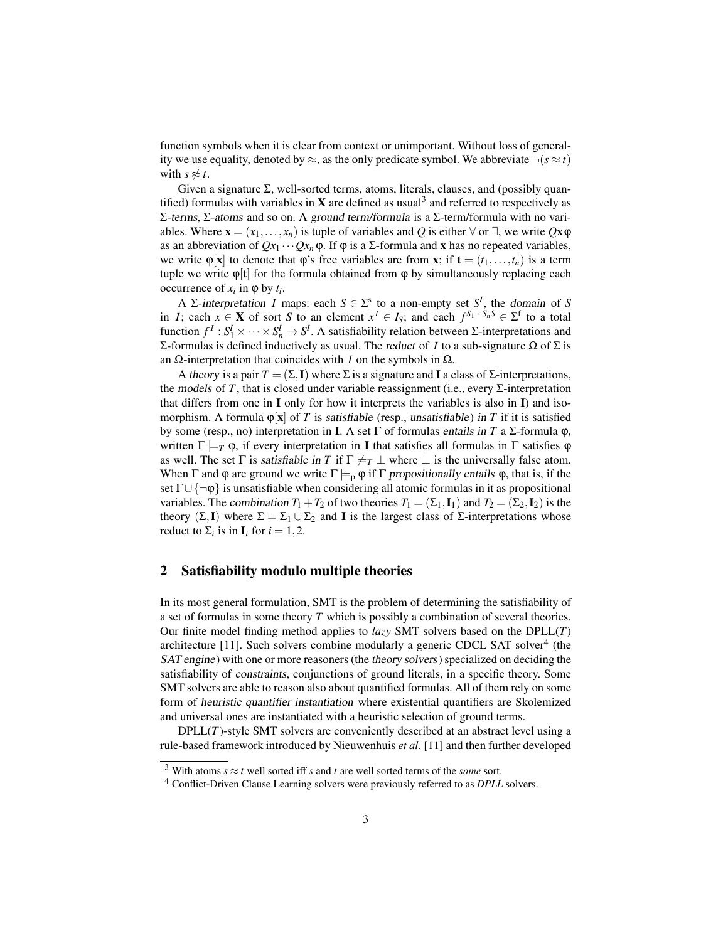function symbols when it is clear from context or unimportant. Without loss of generality we use equality, denoted by  $\approx$ , as the only predicate symbol. We abbreviate  $\neg(s \approx t)$ with  $s \not\approx t$ .

Given a signature  $\Sigma$ , well-sorted terms, atoms, literals, clauses, and (possibly quantified) formulas with variables in **X** are defined as usual<sup>3</sup> and referred to respectively as Σ-terms, Σ-atoms and so on. A ground term/formula is a Σ-term/formula with no variables. Where  $\mathbf{x} = (x_1, \ldots, x_n)$  is tuple of variables and Q is either  $\forall$  or  $\exists$ , we write  $Q\mathbf{x}\varphi$ as an abbreviation of  $Qx_1 \cdots Qx_n \varphi$ . If  $\varphi$  is a  $\Sigma$ -formula and **x** has no repeated variables, we write  $\varphi[\mathbf{x}]$  to denote that  $\varphi$ 's free variables are from x; if  $\mathbf{t} = (t_1, \ldots, t_n)$  is a term tuple we write  $\varphi[t]$  for the formula obtained from  $\varphi$  by simultaneously replacing each occurrence of  $x_i$  in φ by  $t_i$ .

A *Σ*-interpretation *I* maps: each  $S \in \Sigma^s$  to a non-empty set  $S^I$ , the domain of *S* in *I*; each  $x \in \mathbf{X}$  of sort *S* to an element  $x^I \in I_S$ ; and each  $f^{S_1 \cdots S_n S} \in \Sigma^f$  to a total function  $f^I: S_1^I \times \cdots \times S_n^I \to S^I$ . A satisfiability relation between  $\Sigma$ -interpretations and Σ-formulas is defined inductively as usual. The reduct of *I* to a sub-signature Ω of Σ is an Ω-interpretation that coincides with *I* on the symbols in  $Ω$ .

A theory is a pair  $T = (\Sigma, I)$  where  $\Sigma$  is a signature and I a class of  $\Sigma$ -interpretations, the models of T, that is closed under variable reassignment (i.e., every  $\Sigma$ -interpretation that differs from one in  $\bf{I}$  only for how it interprets the variables is also in  $\bf{I}$ ) and isomorphism. A formula  $\varphi[x]$  of *T* is satisfiable (resp., unsatisfiable) in *T* if it is satisfied by some (resp., no) interpretation in I. A set Γ of formulas entails in *T* a Σ-formula ϕ, written  $\Gamma \models_T \varphi$ , if every interpretation in **I** that satisfies all formulas in  $\Gamma$  satisfies  $\varphi$ as well. The set  $\Gamma$  is *satisfiable in*  $T$  if  $\Gamma \not\models_T \bot$  where  $\bot$  is the universally false atom. When  $\Gamma$  and  $\varphi$  are ground we write  $\Gamma \models_{\rho} \varphi$  if  $\Gamma$  propositionally entails  $\varphi$ , that is, if the set Γ∪ {¬φ} is unsatisfiable when considering all atomic formulas in it as propositional variables. The combination  $T_1 + T_2$  of two theories  $T_1 = (\Sigma_1, I_1)$  and  $T_2 = (\Sigma_2, I_2)$  is the theory  $(\Sigma, I)$  where  $\Sigma = \Sigma_1 \cup \Sigma_2$  and I is the largest class of  $\Sigma$ -interpretations whose reduct to  $\Sigma_i$  is in  $\mathbf{I}_i$  for  $i = 1, 2$ .

## 2 Satisfiability modulo multiple theories

In its most general formulation, SMT is the problem of determining the satisfiability of a set of formulas in some theory *T* which is possibly a combination of several theories. Our finite model finding method applies to *lazy* SMT solvers based on the DPLL(*T*) architecture [11]. Such solvers combine modularly a generic CDCL SAT solver $<sup>4</sup>$  (the</sup> SAT engine) with one or more reasoners (the theory solvers) specialized on deciding the satisfiability of constraints, conjunctions of ground literals, in a specific theory. Some SMT solvers are able to reason also about quantified formulas. All of them rely on some form of heuristic quantifier instantiation where existential quantifiers are Skolemized and universal ones are instantiated with a heuristic selection of ground terms.

 $DPLL(T)$ -style SMT solvers are conveniently described at an abstract level using a rule-based framework introduced by Nieuwenhuis *et al.* [11] and then further developed

<sup>&</sup>lt;sup>3</sup> With atoms  $s \approx t$  well sorted iff *s* and *t* are well sorted terms of the *same* sort.

<sup>4</sup> Conflict-Driven Clause Learning solvers were previously referred to as *DPLL* solvers.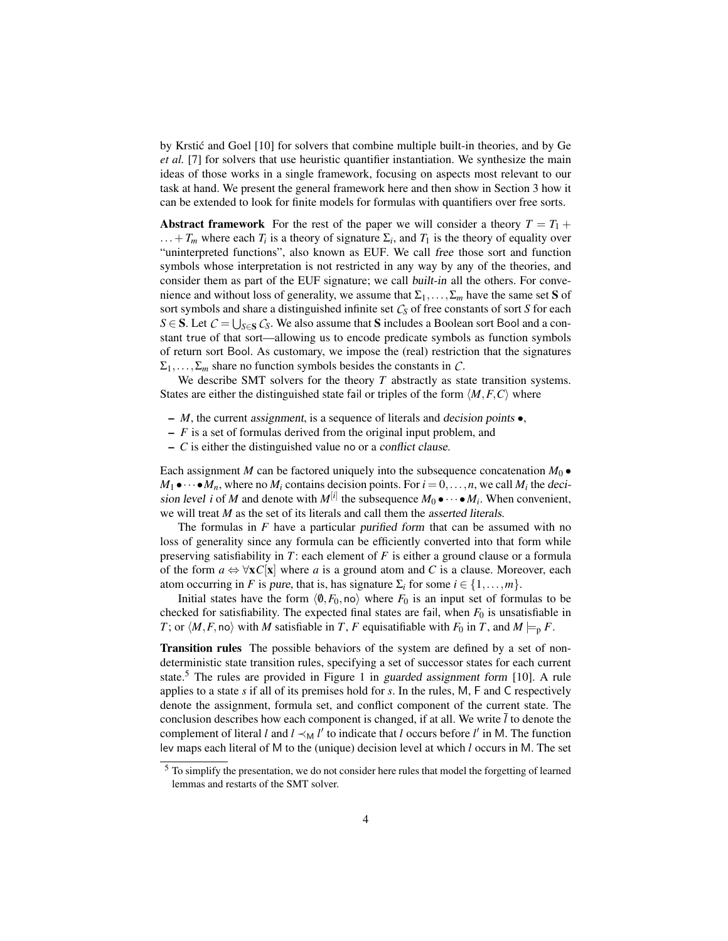by Krstic and Goel [10] for solvers that combine multiple built-in theories, and by Ge ´ *et al.* [7] for solvers that use heuristic quantifier instantiation. We synthesize the main ideas of those works in a single framework, focusing on aspects most relevant to our task at hand. We present the general framework here and then show in Section 3 how it can be extended to look for finite models for formulas with quantifiers over free sorts.

Abstract framework For the rest of the paper we will consider a theory  $T = T_1 + T_2$  $\ldots + T_m$  where each  $T_i$  is a theory of signature  $\Sigma_i$ , and  $T_1$  is the theory of equality over "uninterpreted functions", also known as EUF. We call free those sort and function symbols whose interpretation is not restricted in any way by any of the theories, and consider them as part of the EUF signature; we call built-in all the others. For convenience and without loss of generality, we assume that  $\Sigma_1, \ldots, \Sigma_m$  have the same set S of sort symbols and share a distinguished infinite set *C<sup>S</sup>* of free constants of sort *S* for each *S* ∈ **S**. Let *C* = ∪<sub>*S*∈**s** *C*<sub>S</sub>. We also assume that **S** includes a Boolean sort Bool and a con-</sub> stant true of that sort—allowing us to encode predicate symbols as function symbols of return sort Bool. As customary, we impose the (real) restriction that the signatures  $\Sigma_1, \ldots, \Sigma_m$  share no function symbols besides the constants in C.

We describe SMT solvers for the theory *T* abstractly as state transition systems. States are either the distinguished state fail or triples of the form  $\langle M, F, C \rangle$  where

- *M*, the current assignment, is a sequence of literals and decision points •,
- *F* is a set of formulas derived from the original input problem, and
- *C* is either the distinguished value no or a conflict clause.

Each assignment *M* can be factored uniquely into the subsequence concatenation  $M_0$ .  $M_1 \bullet \cdots \bullet M_n$ , where no  $M_i$  contains decision points. For  $i = 0, \ldots, n$ , we call  $M_i$  the decision level *i* of *M* and denote with  $M^{[i]}$  the subsequence  $M_0 \bullet \cdots \bullet M_i$ . When convenient, we will treat *M* as the set of its literals and call them the asserted literals.

The formulas in *F* have a particular purified form that can be assumed with no loss of generality since any formula can be efficiently converted into that form while preserving satisfiability in *T*: each element of *F* is either a ground clause or a formula of the form  $a \Leftrightarrow \forall x C[x]$  where a is a ground atom and C is a clause. Moreover, each atom occurring in *F* is pure, that is, has signature  $\Sigma_i$  for some  $i \in \{1, \ldots, m\}$ .

Initial states have the form  $\langle \emptyset, F_0, \text{no} \rangle$  where  $F_0$  is an input set of formulas to be checked for satisfiability. The expected final states are fail, when  $F_0$  is unsatisfiable in *T*; or  $\langle M, F, \text{no} \rangle$  with *M* satisfiable in *T*, *F* equisatifiable with *F*<sub>0</sub> in *T*, and *M*  $\models_{p}$  *F*.

Transition rules The possible behaviors of the system are defined by a set of nondeterministic state transition rules, specifying a set of successor states for each current state.<sup>5</sup> The rules are provided in Figure 1 in guarded assignment form [10]. A rule applies to a state *s* if all of its premises hold for *s*. In the rules, M, F and C respectively denote the assignment, formula set, and conflict component of the current state. The conclusion describes how each component is changed, if at all. We write *l* to denote the complement of literal *l* and  $l \prec_M l'$  to indicate that *l* occurs before *l'* in M. The function lev maps each literal of M to the (unique) decision level at which *l* occurs in M. The set

<sup>&</sup>lt;sup>5</sup> To simplify the presentation, we do not consider here rules that model the forgetting of learned lemmas and restarts of the SMT solver.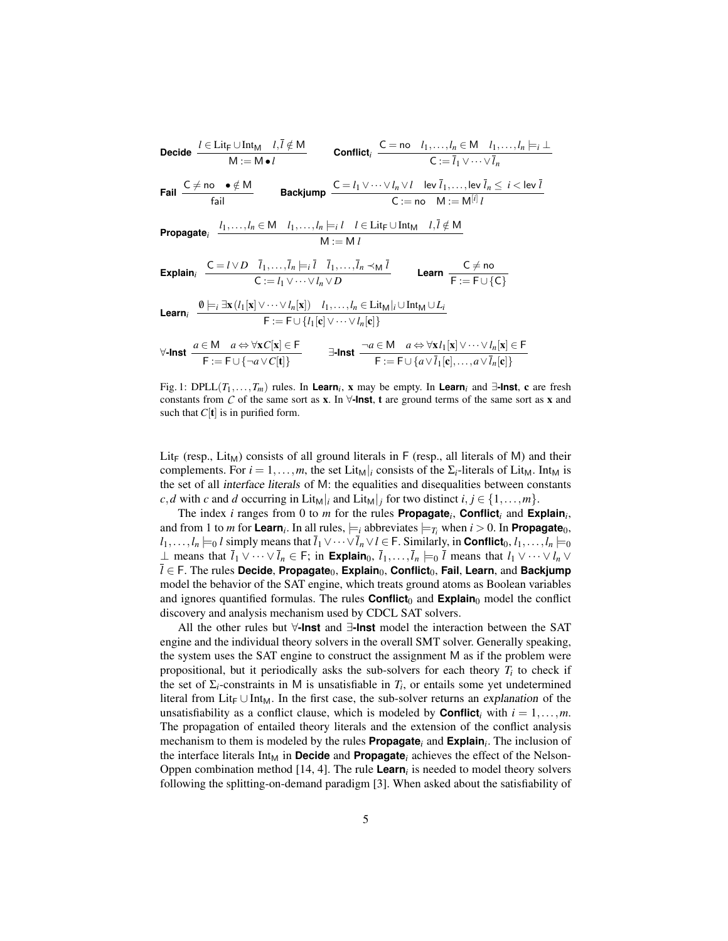**Decide** 
$$
\frac{l \in \text{Lit}_{\mathsf{f}} \cup \text{Int}_{\mathsf{M}} \quad l, l \notin \mathsf{M}}{M := M \bullet l}
$$
 **conflict**<sub>*i*</sub> 
$$
\frac{C = n \circ l_1, \ldots, l_n \in \mathsf{M} \quad l_1, \ldots, l_n \models_{i} \bot \quad \mathsf{C}}{C := \overline{l_1} \vee \cdots \vee \overline{l_n}}
$$
  
\n**Fail** 
$$
\frac{C \neq n \circ \bullet \notin \mathsf{M}}{\mathsf{fail}}
$$
 **Backjump** 
$$
\frac{C = l_1 \vee \cdots \vee l_n \vee l \quad \text{lev } \overline{l_1}, \ldots, \text{lev } \overline{l_n} \leq i < \text{lev } \overline{l}}{C := n \circ M := M^{[i]} \cdot l}
$$
  
\n**Propagate**<sub>*i*</sub> 
$$
\frac{l_1, \ldots, l_n \in \mathsf{M} \quad l_1, \ldots, l_n \models_{i} l \quad l \in \text{Lit}_{\mathsf{f}} \cup \text{Int}_{\mathsf{M}} \quad l, \overline{l} \notin \mathsf{M}}{M := M \cdot l}
$$

$$
\text{Explain}_{i} \quad \frac{\mathsf{C} = l \lor D \quad \bar{l}_{1}, \dots, \bar{l}_{n} \models_{i} \bar{l} \quad \bar{l}_{1}, \dots, \bar{l}_{n} \prec_{\mathsf{M}} \bar{l}}{\mathsf{C} := l_{1} \lor \dots \lor l_{n} \lor D} \qquad \text{Learn } \frac{\mathsf{C} \neq \mathsf{no}}{\mathsf{F} := \mathsf{F} \cup \{\mathsf{C}\}}
$$

$$
\textbf{Learn}_i \quad \frac{\emptyset \models_i \exists \mathbf{x} (l_1[\mathbf{x}] \vee \cdots \vee l_n[\mathbf{x}]) \quad l_1, \ldots, l_n \in \text{Lit}_M | i \cup \text{Int}_M \cup L_i}{\mathsf{F} := \mathsf{F} \cup \{l_1[\mathbf{c}] \vee \cdots \vee l_n[\mathbf{c}]\}}.
$$

∀**-Inst** *a* ∈ M *a* ⇔ ∀x*C*[x] ∈ F  $\in$  M *a* ⇔ ∀x*C*[x] ∈ F<br>  $F := F \cup \{ \neg a \vee C[t] \}$   $\exists$ -Inst  $\frac{\neg a \in M$  *a* ⇔ ∀x*l*<sub>1</sub>[x] ∨  $\cdots \vee l_n$ [x] ∈ F<br>  $F := F \cup \{ a \vee \overline{l}_1[c], \ldots, a \vee \overline{l}_n[c] \}$  $F := F \cup \{a \vee \bar{l}_1[\mathbf{c}], \ldots, a \vee \bar{l}_n[\mathbf{c}]\}$ 

Fig. 1: DPLL $(T_1, \ldots, T_m)$  rules. In **Learn**<sub>*i*</sub>, x may be empty. In **Learn**<sub>*i*</sub> and  $\exists$ -Inst, c are fresh constants from *C* of the same sort as **x**. In  $\forall$ **-Inst**, **t** are ground terms of the same sort as **x** and such that  $C[t]$  is in purified form.

Lit<sub>F</sub> (resp., Lit<sub>M</sub>) consists of all ground literals in F (resp., all literals of M) and their complements. For  $i = 1, \ldots, m$ , the set Lit<sub>M</sub> $|i|$  consists of the  $\Sigma_i$ -literals of Lit<sub>M</sub>. Int<sub>M</sub> is the set of all interface literals of M: the equalities and disequalities between constants *c*,*d* with *c* and *d* occurring in Lit<sub>M</sub>|<sub>*i*</sub> and Lit<sub>M</sub>|<sub>*i*</sub> for two distinct  $i, j \in \{1, ..., m\}$ .

The index *i* ranges from 0 to *m* for the rules **Propagate***<sup>i</sup>* , **Conflict***<sup>i</sup>* and **Explain***<sup>i</sup>* , and from 1 to *m* for **Learn**<sub>*i*</sub>. In all rules,  $\models_i$  abbreviates  $\models_{T_i}$  when  $i > 0$ . In **Propagate**<sub>0</sub>, *l*<sub>1</sub>,...,*l*<sub>*n*</sub>  $\models$ <sub>0</sub> *l* simply means that  $\overline{l}_1 ∨ ··· ∨ \overline{l}_n ∨ l ∈ F$ . Similarly, in **Conflict**<sub>0</sub>,  $l_1, ..., l_n \models$ <sub>0</sub> ⊥ means that  $\bar{l}_1 \vee \cdots \vee \bar{l}_n \in \mathsf{F}$ ; in **Explain**<sub>0</sub>,  $\bar{l}_1, \ldots, \bar{l}_n \models_0 \bar{l}$  means that  $l_1 \vee \cdots \vee l_n \vee$  $\bar{l}$  ∈ F. The rules Decide, Propagate<sub>0</sub>, Explain<sub>0</sub>, Conflict<sub>0</sub>, Fail, Learn, and Backjump model the behavior of the SAT engine, which treats ground atoms as Boolean variables and ignores quantified formulas. The rules  $\text{Conflict}_0$  and  $\text{Explain}_0$  model the conflict discovery and analysis mechanism used by CDCL SAT solvers.

All the other rules but ∀**-Inst** and ∃**-Inst** model the interaction between the SAT engine and the individual theory solvers in the overall SMT solver. Generally speaking, the system uses the SAT engine to construct the assignment M as if the problem were propositional, but it periodically asks the sub-solvers for each theory *T<sup>i</sup>* to check if the set of  $\Sigma_i$ -constraints in M is unsatisfiable in  $T_i$ , or entails some yet undetermined literal from Lit<sub>F</sub> ∪ Int<sub>M</sub>. In the first case, the sub-solver returns an explanation of the unsatisfiability as a conflict clause, which is modeled by **Conflict**<sub>*i*</sub> with  $i = 1, \ldots, m$ . The propagation of entailed theory literals and the extension of the conflict analysis mechanism to them is modeled by the rules **Propagate***<sup>i</sup>* and **Explain***<sup>i</sup>* . The inclusion of the interface literals  $Int_M$  in **Decide** and **Propagate**<sub>*i*</sub> achieves the effect of the Nelson-Oppen combination method [14, 4]. The rule **Learn***<sup>i</sup>* is needed to model theory solvers following the splitting-on-demand paradigm [3]. When asked about the satisfiability of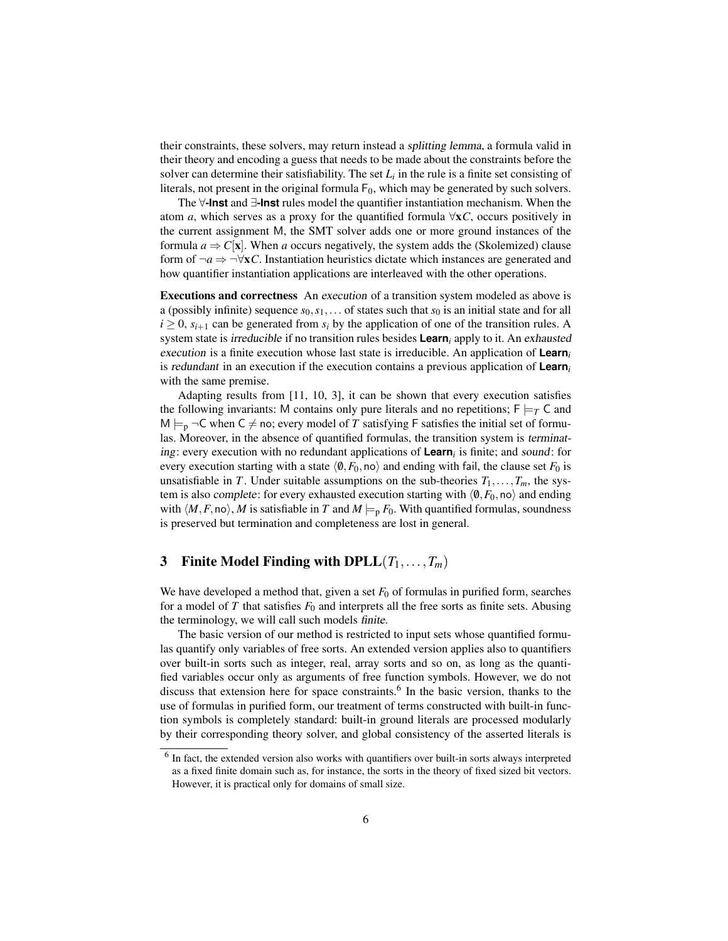their constraints, these solvers, may return instead a splitting lemma, a formula valid in their theory and encoding a guess that needs to be made about the constraints before the solver can determine their satisfiability. The set  $L_i$  in the rule is a finite set consisting of literals, not present in the original formula  $F_0$ , which may be generated by such solvers.

The ∀**-Inst** and ∃**-Inst** rules model the quantifier instantiation mechanism. When the atom *a*, which serves as a proxy for the quantified formula ∀x*C*, occurs positively in the current assignment M, the SMT solver adds one or more ground instances of the formula  $a \Rightarrow C[\mathbf{x}]$ . When *a* occurs negatively, the system adds the (Skolemized) clause form of  $\neg a \Rightarrow \neg \forall x C$ . Instantiation heuristics dictate which instances are generated and how quantifier instantiation applications are interleaved with the other operations.

Executions and correctness An execution of a transition system modeled as above is a (possibly infinite) sequence  $s_0, s_1, \ldots$  of states such that  $s_0$  is an initial state and for all  $i \geq 0$ ,  $s_{i+1}$  can be generated from  $s_i$  by the application of one of the transition rules. A system state is irreducible if no transition rules besides **Learn***<sup>i</sup>* apply to it. An exhausted execution is a finite execution whose last state is irreducible. An application of **Learn***<sup>i</sup>* is redundant in an execution if the execution contains a previous application of **Learn***<sup>i</sup>* with the same premise.

Adapting results from [11, 10, 3], it can be shown that every execution satisfies the following invariants: M contains only pure literals and no repetitions;  $F \models_T C$  and  $M \models_{p} \neg C$  when  $C \neq$  no; every model of *T* satisfying F satisfies the initial set of formulas. Moreover, in the absence of quantified formulas, the transition system is terminating: every execution with no redundant applications of **Learn***<sup>i</sup>* is finite; and sound: for every execution starting with a state  $\langle 0, F_0, \text{no} \rangle$  and ending with fail, the clause set  $F_0$  is unsatisfiable in *T*. Under suitable assumptions on the sub-theories  $T_1, \ldots, T_m$ , the system is also complete: for every exhausted execution starting with  $\langle 0, F_0, \text{no} \rangle$  and ending with  $\langle M, F, no \rangle$ , *M* is satisfiable in *T* and  $M \models_{p} F_0$ . With quantified formulas, soundness is preserved but termination and completeness are lost in general.

# **3** Finite Model Finding with  $DPLL(T_1, ..., T_m)$

We have developed a method that, given a set  $F_0$  of formulas in purified form, searches for a model of  $T$  that satisfies  $F_0$  and interprets all the free sorts as finite sets. Abusing the terminology, we will call such models finite.

The basic version of our method is restricted to input sets whose quantified formulas quantify only variables of free sorts. An extended version applies also to quantifiers over built-in sorts such as integer, real, array sorts and so on, as long as the quantified variables occur only as arguments of free function symbols. However, we do not discuss that extension here for space constraints.<sup>6</sup> In the basic version, thanks to the use of formulas in purified form, our treatment of terms constructed with built-in function symbols is completely standard: built-in ground literals are processed modularly by their corresponding theory solver, and global consistency of the asserted literals is

<sup>&</sup>lt;sup>6</sup> In fact, the extended version also works with quantifiers over built-in sorts always interpreted as a fixed finite domain such as, for instance, the sorts in the theory of fixed sized bit vectors. However, it is practical only for domains of small size.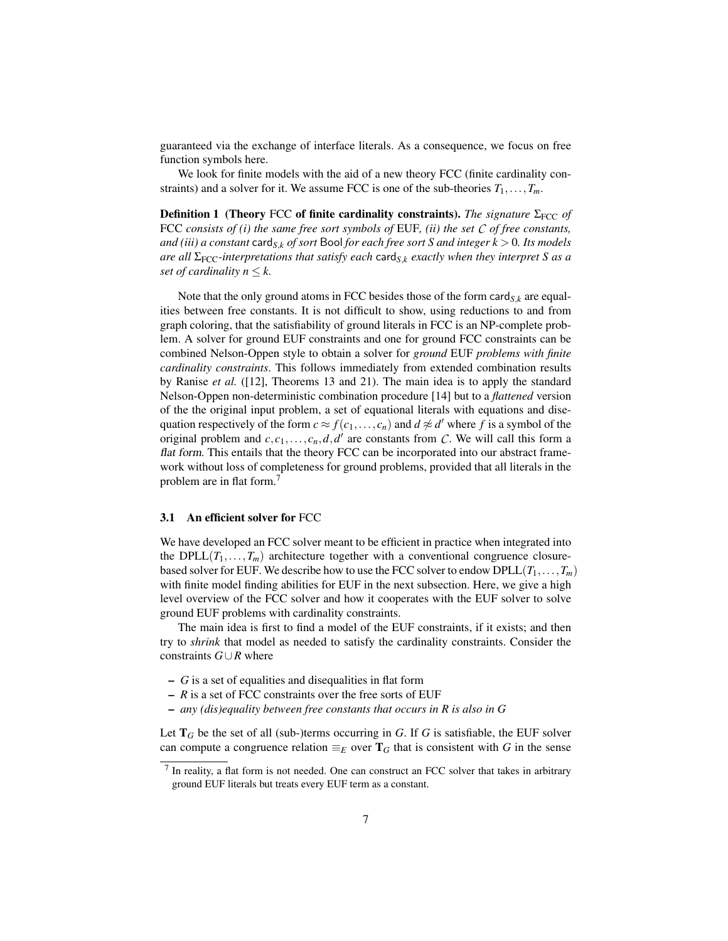guaranteed via the exchange of interface literals. As a consequence, we focus on free function symbols here.

We look for finite models with the aid of a new theory FCC (finite cardinality constraints) and a solver for it. We assume FCC is one of the sub-theories  $T_1, \ldots, T_m$ .

**Definition 1** (Theory FCC of finite cardinality constraints). *The signature* Σ<sub>FCC</sub> of FCC *consists of (i) the same free sort symbols of* EUF*, (ii) the set C of free constants, and (iii) a constant* card*S*,*<sup>k</sup> of sort* Bool *for each free sort S and integer k* > 0*. Its models are all* ΣFCC*-interpretations that satisfy each* card*S*,*<sup>k</sup> exactly when they interpret S as a set of cardinality n*  $\leq k$ .

Note that the only ground atoms in FCC besides those of the form card $<sub>S,k</sub>$  are equal-</sub> ities between free constants. It is not difficult to show, using reductions to and from graph coloring, that the satisfiability of ground literals in FCC is an NP-complete problem. A solver for ground EUF constraints and one for ground FCC constraints can be combined Nelson-Oppen style to obtain a solver for *ground* EUF *problems with finite cardinality constraints*. This follows immediately from extended combination results by Ranise *et al.* ([12], Theorems 13 and 21). The main idea is to apply the standard Nelson-Oppen non-deterministic combination procedure [14] but to a *flattened* version of the the original input problem, a set of equational literals with equations and disequation respectively of the form  $c \approx f(c_1, \ldots, c_n)$  and  $d \not\approx d'$  where  $f$  is a symbol of the original problem and  $c, c_1, \ldots, c_n, d, d'$  are constants from *C*. We will call this form a flat form. This entails that the theory FCC can be incorporated into our abstract framework without loss of completeness for ground problems, provided that all literals in the problem are in flat form.<sup>7</sup>

## 3.1 An efficient solver for FCC

We have developed an FCC solver meant to be efficient in practice when integrated into the DPLL $(T_1, \ldots, T_m)$  architecture together with a conventional congruence closurebased solver for EUF. We describe how to use the FCC solver to endow  $DPLL(T_1, \ldots, T_m)$ with finite model finding abilities for EUF in the next subsection. Here, we give a high level overview of the FCC solver and how it cooperates with the EUF solver to solve ground EUF problems with cardinality constraints.

The main idea is first to find a model of the EUF constraints, if it exists; and then try to *shrink* that model as needed to satisfy the cardinality constraints. Consider the constraints *G*∪*R* where

- *G* is a set of equalities and disequalities in flat form
- *R* is a set of FCC constraints over the free sorts of EUF
- *any (dis)equality between free constants that occurs in R is also in G*

Let  $T_G$  be the set of all (sub-)terms occurring in *G*. If *G* is satisfiable, the EUF solver can compute a congruence relation  $\equiv_E$  over  $T_G$  that is consistent with *G* in the sense

 $<sup>7</sup>$  In reality, a flat form is not needed. One can construct an FCC solver that takes in arbitrary</sup> ground EUF literals but treats every EUF term as a constant.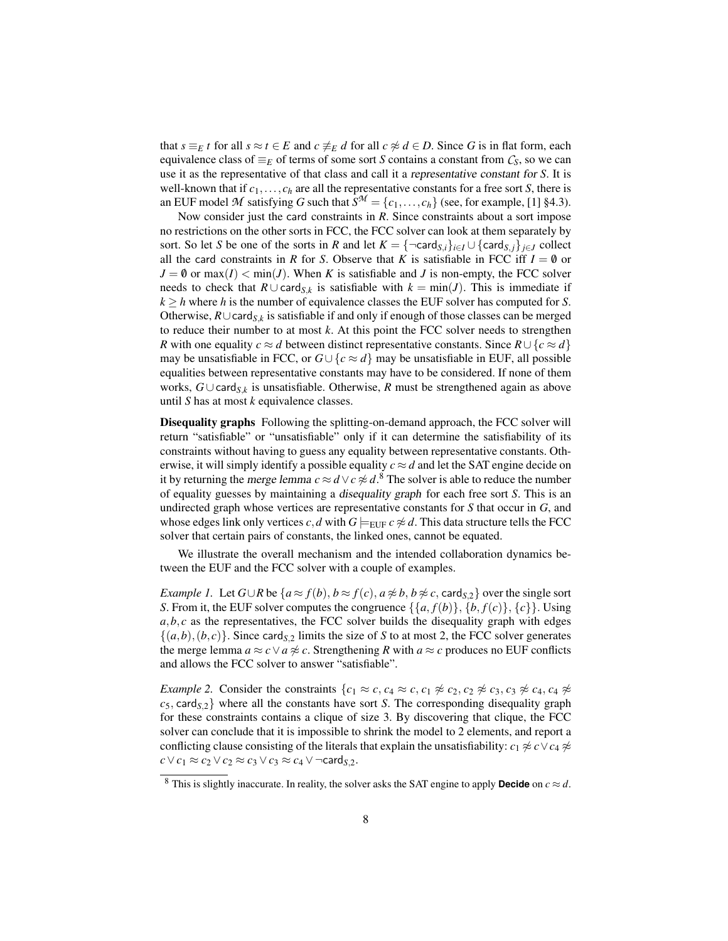that *s* ≡*E t* for all *s* ≈ *t* ∈ *E* and *c*  $\neq$  *E d* for all *c*  $\neq$  *d* ∈ *D*. Since *G* is in flat form, each equivalence class of  $\equiv_E$  of terms of some sort *S* contains a constant from  $C_S$ , so we can use it as the representative of that class and call it a representative constant for *S*. It is well-known that if  $c_1, \ldots, c_h$  are all the representative constants for a free sort *S*, there is an EUF model  $M$  satisfying  $G$  such that  $S^M = \{c_1, \ldots, c_h\}$  (see, for example, [1] §4.3).

Now consider just the card constraints in *R*. Since constraints about a sort impose no restrictions on the other sorts in FCC, the FCC solver can look at them separately by sort. So let *S* be one of the sorts in *R* and let  $K = \{\neg \text{card}_{S,i}\}_{i \in I} \cup \{\text{card}_{S,i}\}_{i \in J}$  collect all the card constraints in *R* for *S*. Observe that *K* is satisfiable in FCC iff  $I = \emptyset$  or  $J = \emptyset$  or max $(I) < \min(J)$ . When *K* is satisfiable and *J* is non-empty, the FCC solver needs to check that  $R \cup \text{card}_{S,k}$  is satisfiable with  $k = \min(J)$ . This is immediate if  $k \geq h$  where *h* is the number of equivalence classes the EUF solver has computed for *S*. Otherwise,  $R \cup \text{card}_{S}$  *k* is satisfiable if and only if enough of those classes can be merged to reduce their number to at most *k*. At this point the FCC solver needs to strengthen *R* with one equality *c* ≈ *d* between distinct representative constants. Since  $R \cup \{c \approx d\}$ may be unsatisfiable in FCC, or  $G \cup \{c \approx d\}$  may be unsatisfiable in EUF, all possible equalities between representative constants may have to be considered. If none of them works,  $G ∪$  card<sub>*S* $,k$ </sub> is unsatisfiable. Otherwise, *R* must be strengthened again as above until *S* has at most *k* equivalence classes.

Disequality graphs Following the splitting-on-demand approach, the FCC solver will return "satisfiable" or "unsatisfiable" only if it can determine the satisfiability of its constraints without having to guess any equality between representative constants. Otherwise, it will simply identify a possible equality  $c \approx d$  and let the SAT engine decide on it by returning the *merge lemma*  $c \approx d \vee c \not\approx d$ .<sup>8</sup> The solver is able to reduce the number of equality guesses by maintaining a disequality graph for each free sort *S*. This is an undirected graph whose vertices are representative constants for *S* that occur in *G*, and whose edges link only vertices *c*, *d* with  $G \models_{\text{EUF}} c \not\approx d$ . This data structure tells the FCC solver that certain pairs of constants, the linked ones, cannot be equated.

We illustrate the overall mechanism and the intended collaboration dynamics between the EUF and the FCC solver with a couple of examples.

*Example 1.* Let  $G \cup R$  be  $\{a \approx f(b), b \approx f(c), a \not\approx b, b \not\approx c, \text{card}_{S,2}\}$  over the single sort *S*. From it, the EUF solver computes the congruence  $\{\{a, f(b)\}, \{b, f(c)\}, \{c\}\}\)$ . Using  $a, b, c$  as the representatives, the FCC solver builds the disequality graph with edges  $\{(a,b),(b,c)\}$ . Since card<sub>S,2</sub> limits the size of *S* to at most 2, the FCC solver generates the merge lemma  $a \approx c \vee a \not\approx c$ . Strengthening *R* with  $a \approx c$  produces no EUF conflicts and allows the FCC solver to answer "satisfiable".

*Example 2.* Consider the constraints  $\{c_1 \approx c, c_4 \approx c, c_1 \not\approx c_2, c_2 \not\approx c_3, c_3 \not\approx c_4, c_4 \not\approx c_5, c_6 \not\approx c_6 \}$ *c*5, card*S*,2} where all the constants have sort *S*. The corresponding disequality graph for these constraints contains a clique of size 3. By discovering that clique, the FCC solver can conclude that it is impossible to shrink the model to 2 elements, and report a conflicting clause consisting of the literals that explain the unsatisfiability:  $c_1 \not\approx c \vee c_4 \not\approx c_4$  $c \vee c_1 \approx c_2 \vee c_2 \approx c_3 \vee c_3 \approx c_4 \vee \neg \text{card}_{S,2}.$ 

<sup>&</sup>lt;sup>8</sup> This is slightly inaccurate. In reality, the solver asks the SAT engine to apply **Decide** on  $c \approx d$ .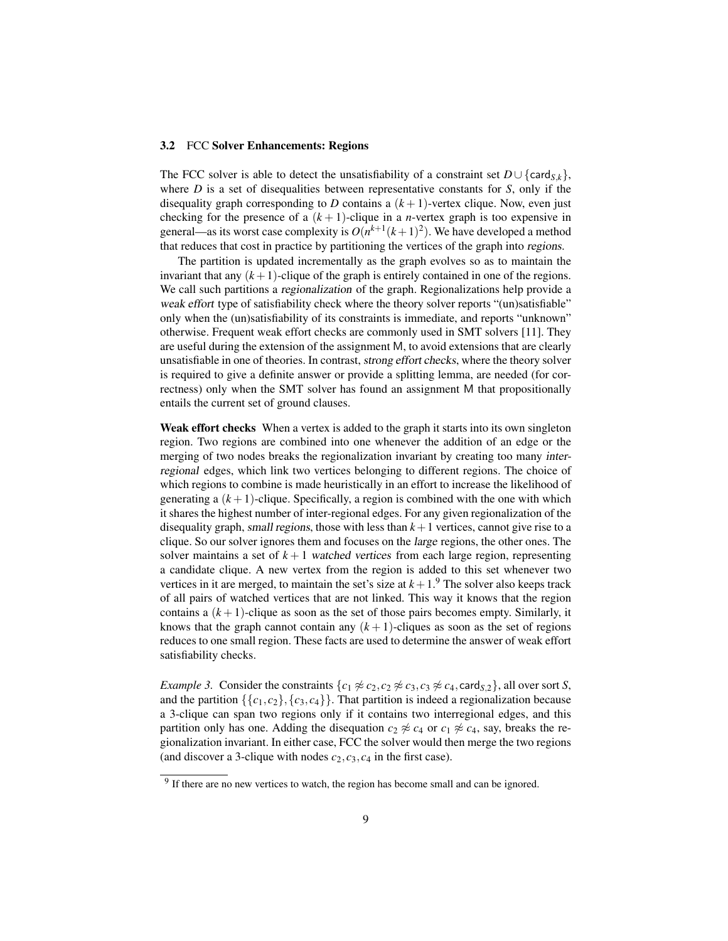#### 3.2 FCC Solver Enhancements: Regions

The FCC solver is able to detect the unsatisfiability of a constraint set  $D \cup \{card_{S,k}\},$ where *D* is a set of disequalities between representative constants for *S*, only if the disequality graph corresponding to *D* contains a  $(k + 1)$ -vertex clique. Now, even just checking for the presence of a  $(k + 1)$ -clique in a *n*-vertex graph is too expensive in general—as its worst case complexity is  $O(n^{k+1}(k+1)^2)$ . We have developed a method that reduces that cost in practice by partitioning the vertices of the graph into regions.

The partition is updated incrementally as the graph evolves so as to maintain the invariant that any  $(k+1)$ -clique of the graph is entirely contained in one of the regions. We call such partitions a *regionalization* of the graph. Regionalizations help provide a weak effort type of satisfiability check where the theory solver reports "(un)satisfiable" only when the (un)satisfiability of its constraints is immediate, and reports "unknown" otherwise. Frequent weak effort checks are commonly used in SMT solvers [11]. They are useful during the extension of the assignment M, to avoid extensions that are clearly unsatisfiable in one of theories. In contrast, strong effort checks, where the theory solver is required to give a definite answer or provide a splitting lemma, are needed (for correctness) only when the SMT solver has found an assignment M that propositionally entails the current set of ground clauses.

Weak effort checks When a vertex is added to the graph it starts into its own singleton region. Two regions are combined into one whenever the addition of an edge or the merging of two nodes breaks the regionalization invariant by creating too many interregional edges, which link two vertices belonging to different regions. The choice of which regions to combine is made heuristically in an effort to increase the likelihood of generating a  $(k+1)$ -clique. Specifically, a region is combined with the one with which it shares the highest number of inter-regional edges. For any given regionalization of the disequality graph, small regions, those with less than  $k+1$  vertices, cannot give rise to a clique. So our solver ignores them and focuses on the large regions, the other ones. The solver maintains a set of  $k+1$  watched vertices from each large region, representing a candidate clique. A new vertex from the region is added to this set whenever two vertices in it are merged, to maintain the set's size at  $k+1$ .<sup>9</sup> The solver also keeps track of all pairs of watched vertices that are not linked. This way it knows that the region contains a  $(k+1)$ -clique as soon as the set of those pairs becomes empty. Similarly, it knows that the graph cannot contain any  $(k+1)$ -cliques as soon as the set of regions reduces to one small region. These facts are used to determine the answer of weak effort satisfiability checks.

*Example 3.* Consider the constraints  $\{c_1 \not\approx c_2, c_2 \not\approx c_3, c_3 \not\approx c_4, \text{card}_{S,2}\}\$ , all over sort *S*, and the partition  $\{\{c_1, c_2\}, \{c_3, c_4\}\}\.$  That partition is indeed a regionalization because a 3-clique can span two regions only if it contains two interregional edges, and this partition only has one. Adding the disequation  $c_2 \not\approx c_4$  or  $c_1 \not\approx c_4$ , say, breaks the regionalization invariant. In either case, FCC the solver would then merge the two regions (and discover a 3-clique with nodes  $c_2$ ,  $c_3$ ,  $c_4$  in the first case).

<sup>&</sup>lt;sup>9</sup> If there are no new vertices to watch, the region has become small and can be ignored.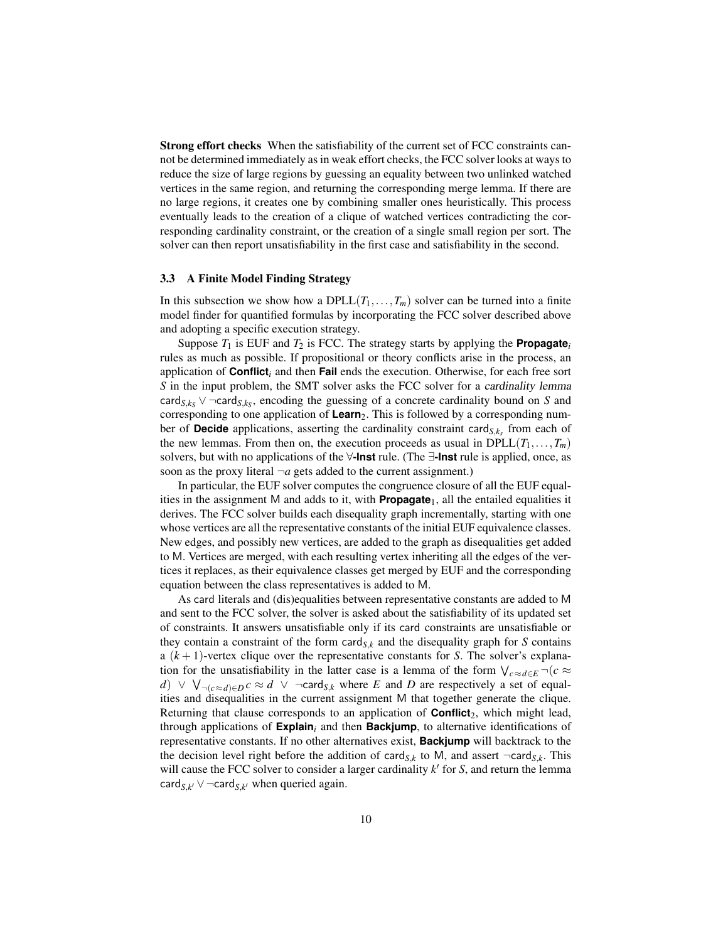Strong effort checks When the satisfiability of the current set of FCC constraints cannot be determined immediately as in weak effort checks, the FCC solver looks at ways to reduce the size of large regions by guessing an equality between two unlinked watched vertices in the same region, and returning the corresponding merge lemma. If there are no large regions, it creates one by combining smaller ones heuristically. This process eventually leads to the creation of a clique of watched vertices contradicting the corresponding cardinality constraint, or the creation of a single small region per sort. The solver can then report unsatisfiability in the first case and satisfiability in the second.

#### 3.3 A Finite Model Finding Strategy

In this subsection we show how a  $DPLL(T_1,...,T_m)$  solver can be turned into a finite model finder for quantified formulas by incorporating the FCC solver described above and adopting a specific execution strategy.

Suppose  $T_1$  is EUF and  $T_2$  is FCC. The strategy starts by applying the **Propagate**<sup>*i*</sup> rules as much as possible. If propositional or theory conflicts arise in the process, an application of **Conflict***<sup>i</sup>* and then **Fail** ends the execution. Otherwise, for each free sort *S* in the input problem, the SMT solver asks the FCC solver for a cardinality lemma  $card_{S,k_S} \vee \neg card_{S,k_S}$ , encoding the guessing of a concrete cardinality bound on *S* and corresponding to one application of **Learn**2. This is followed by a corresponding number of **Decide** applications, asserting the cardinality constraint card*S*,*k<sup>s</sup>* from each of the new lemmas. From then on, the execution proceeds as usual in  $DPLL(T_1, ..., T_m)$ solvers, but with no applications of the ∀**-Inst** rule. (The ∃**-Inst** rule is applied, once, as soon as the proxy literal  $\neg a$  gets added to the current assignment.)

In particular, the EUF solver computes the congruence closure of all the EUF equalities in the assignment M and adds to it, with **Propagate**1, all the entailed equalities it derives. The FCC solver builds each disequality graph incrementally, starting with one whose vertices are all the representative constants of the initial EUF equivalence classes. New edges, and possibly new vertices, are added to the graph as disequalities get added to M. Vertices are merged, with each resulting vertex inheriting all the edges of the vertices it replaces, as their equivalence classes get merged by EUF and the corresponding equation between the class representatives is added to M.

As card literals and (dis)equalities between representative constants are added to M and sent to the FCC solver, the solver is asked about the satisfiability of its updated set of constraints. It answers unsatisfiable only if its card constraints are unsatisfiable or they contain a constraint of the form card $<sub>S,k</sub>$  and the disequality graph for *S* contains</sub> a  $(k+1)$ -vertex clique over the representative constants for *S*. The solver's explanation for the unsatisfiability in the latter case is a lemma of the form  $\bigvee_{c \approx d \in E} \neg(c \approx$ *d*) ∨  $\bigvee_{\neg(c \approx d) \in D} c \approx d$  ∨  $\neg \text{card}_{S,k}$  where *E* and *D* are respectively a set of equalities and disequalities in the current assignment M that together generate the clique. Returning that clause corresponds to an application of **Conflict**<sub>2</sub>, which might lead, through applications of **Explain***<sup>i</sup>* and then **Backjump**, to alternative identifications of representative constants. If no other alternatives exist, **Backjump** will backtrack to the the decision level right before the addition of card $S_k$  to M, and assert  $\neg \text{card}_{S_k}$ . This will cause the FCC solver to consider a larger cardinality  $k'$  for  $S$ , and return the lemma  $card_{S,k'} \vee \neg card_{S,k'}$  when queried again.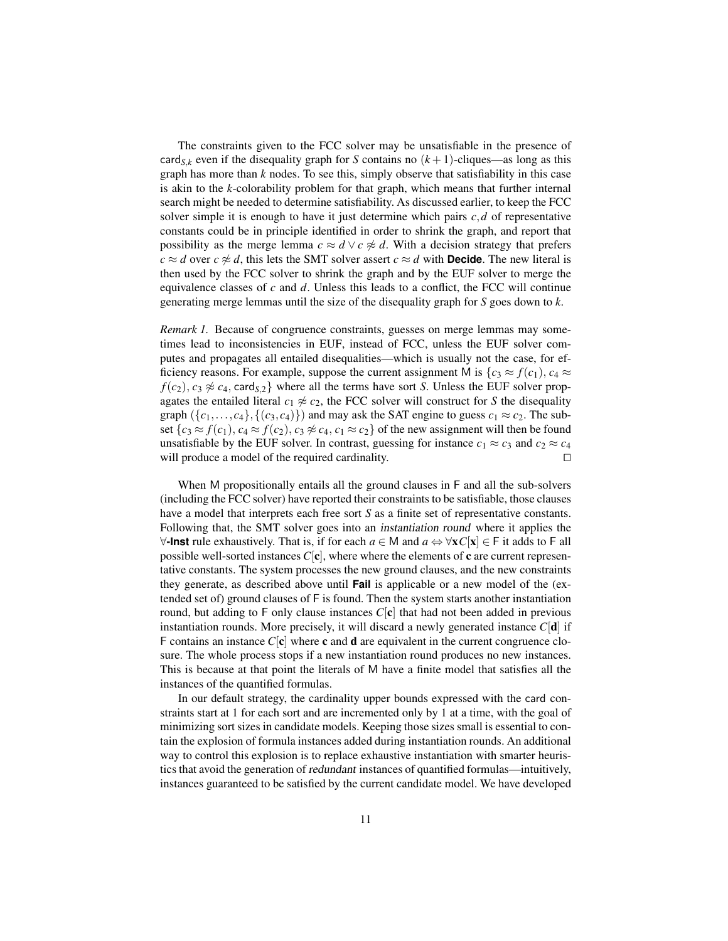The constraints given to the FCC solver may be unsatisfiable in the presence of card<sub>*Sk*</sub> even if the disequality graph for *S* contains no  $(k+1)$ -cliques—as long as this graph has more than *k* nodes. To see this, simply observe that satisfiability in this case is akin to the *k*-colorability problem for that graph, which means that further internal search might be needed to determine satisfiability. As discussed earlier, to keep the FCC solver simple it is enough to have it just determine which pairs *c*,*d* of representative constants could be in principle identified in order to shrink the graph, and report that possibility as the merge lemma  $c \approx d \vee c \not\approx d$ . With a decision strategy that prefers  $c \approx d$  over  $c \not\approx d$ , this lets the SMT solver assert  $c \approx d$  with **Decide**. The new literal is then used by the FCC solver to shrink the graph and by the EUF solver to merge the equivalence classes of *c* and *d*. Unless this leads to a conflict, the FCC will continue generating merge lemmas until the size of the disequality graph for *S* goes down to *k*.

*Remark 1.* Because of congruence constraints, guesses on merge lemmas may sometimes lead to inconsistencies in EUF, instead of FCC, unless the EUF solver computes and propagates all entailed disequalities—which is usually not the case, for efficiency reasons. For example, suppose the current assignment M is  ${c_3 \approx f(c_1), c_4 \approx}$  $f(c_2)$ ,  $c_3 \not\approx c_4$ , card<sub>*S*,2</sub>} where all the terms have sort *S*. Unless the EUF solver propagates the entailed literal  $c_1 \not\approx c_2$ , the FCC solver will construct for *S* the disequality graph  $({c_1, \ldots, c_4}, ({c_3, c_4})$  and may ask the SAT engine to guess  $c_1 \approx c_2$ . The subset  ${c_3 \approx f(c_1), c_4 \approx f(c_2), c_3 \not\approx c_4, c_1 \approx c_2}$  of the new assignment will then be found unsatisfiable by the EUF solver. In contrast, guessing for instance  $c_1 \approx c_3$  and  $c_2 \approx c_4$ will produce a model of the required cardinality.  $\Box$ 

When M propositionally entails all the ground clauses in F and all the sub-solvers (including the FCC solver) have reported their constraints to be satisfiable, those clauses have a model that interprets each free sort *S* as a finite set of representative constants. Following that, the SMT solver goes into an instantiation round where it applies the ∀**-Inst** rule exhaustively. That is, if for each *a* ∈ M and *a* ⇔ ∀x*C*[x] ∈ F it adds to F all possible well-sorted instances  $C[\mathbf{c}]$ , where where the elements of  $\mathbf c$  are current representative constants. The system processes the new ground clauses, and the new constraints they generate, as described above until **Fail** is applicable or a new model of the (extended set of) ground clauses of F is found. Then the system starts another instantiation round, but adding to  $\overline{F}$  only clause instances  $C[\mathbf{c}]$  that had not been added in previous instantiation rounds. More precisely, it will discard a newly generated instance  $C[\mathbf{d}]$  if F contains an instance  $C[\mathbf{c}]$  where c and **d** are equivalent in the current congruence closure. The whole process stops if a new instantiation round produces no new instances. This is because at that point the literals of M have a finite model that satisfies all the instances of the quantified formulas.

In our default strategy, the cardinality upper bounds expressed with the card constraints start at 1 for each sort and are incremented only by 1 at a time, with the goal of minimizing sort sizes in candidate models. Keeping those sizes small is essential to contain the explosion of formula instances added during instantiation rounds. An additional way to control this explosion is to replace exhaustive instantiation with smarter heuristics that avoid the generation of redundant instances of quantified formulas—intuitively, instances guaranteed to be satisfied by the current candidate model. We have developed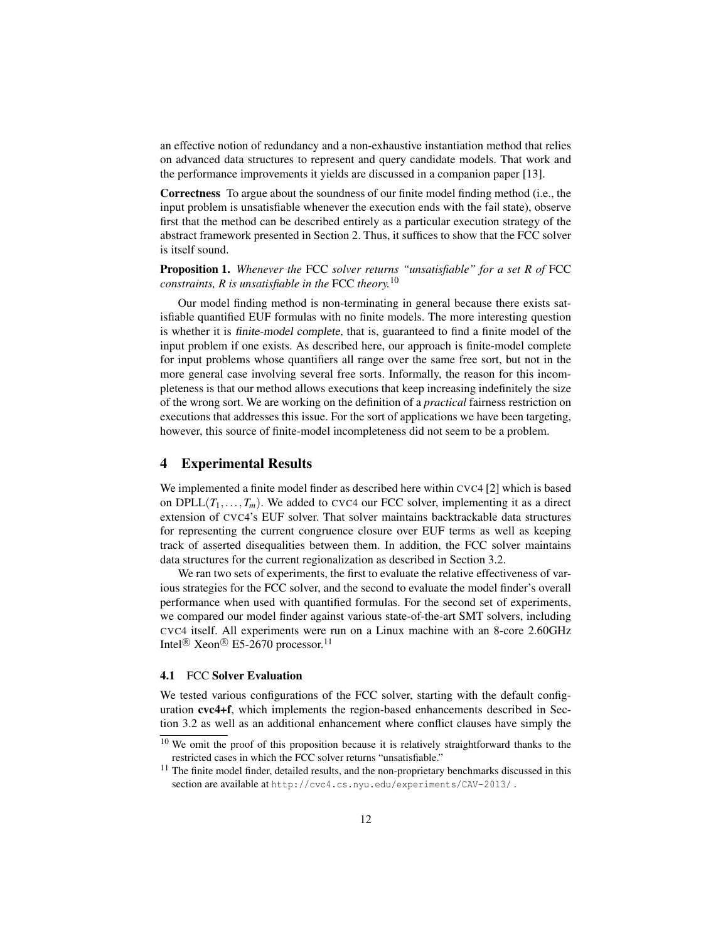an effective notion of redundancy and a non-exhaustive instantiation method that relies on advanced data structures to represent and query candidate models. That work and the performance improvements it yields are discussed in a companion paper [13].

Correctness To argue about the soundness of our finite model finding method (i.e., the input problem is unsatisfiable whenever the execution ends with the fail state), observe first that the method can be described entirely as a particular execution strategy of the abstract framework presented in Section 2. Thus, it suffices to show that the FCC solver is itself sound.

Proposition 1. *Whenever the* FCC *solver returns "unsatisfiable" for a set R of* FCC *constraints, R is unsatisfiable in the* FCC *theory.*<sup>10</sup>

Our model finding method is non-terminating in general because there exists satisfiable quantified EUF formulas with no finite models. The more interesting question is whether it is finite-model complete, that is, guaranteed to find a finite model of the input problem if one exists. As described here, our approach is finite-model complete for input problems whose quantifiers all range over the same free sort, but not in the more general case involving several free sorts. Informally, the reason for this incompleteness is that our method allows executions that keep increasing indefinitely the size of the wrong sort. We are working on the definition of a *practical* fairness restriction on executions that addresses this issue. For the sort of applications we have been targeting, however, this source of finite-model incompleteness did not seem to be a problem.

## 4 Experimental Results

We implemented a finite model finder as described here within CVC4 [2] which is based on DPLL $(T_1, \ldots, T_m)$ . We added to CVC4 our FCC solver, implementing it as a direct extension of CVC4's EUF solver. That solver maintains backtrackable data structures for representing the current congruence closure over EUF terms as well as keeping track of asserted disequalities between them. In addition, the FCC solver maintains data structures for the current regionalization as described in Section 3.2.

We ran two sets of experiments, the first to evaluate the relative effectiveness of various strategies for the FCC solver, and the second to evaluate the model finder's overall performance when used with quantified formulas. For the second set of experiments, we compared our model finder against various state-of-the-art SMT solvers, including CVC4 itself. All experiments were run on a Linux machine with an 8-core 2.60GHz Intel<sup>®</sup> Xeon<sup>®</sup> E5-2670 processor.<sup>11</sup>

## 4.1 FCC Solver Evaluation

We tested various configurations of the FCC solver, starting with the default configuration cvc4+f, which implements the region-based enhancements described in Section 3.2 as well as an additional enhancement where conflict clauses have simply the

<sup>10</sup> We omit the proof of this proposition because it is relatively straightforward thanks to the restricted cases in which the FCC solver returns "unsatisfiable."

<sup>&</sup>lt;sup>11</sup> The finite model finder, detailed results, and the non-proprietary benchmarks discussed in this section are available at http://cvc4.cs.nyu.edu/experiments/CAV-2013/ .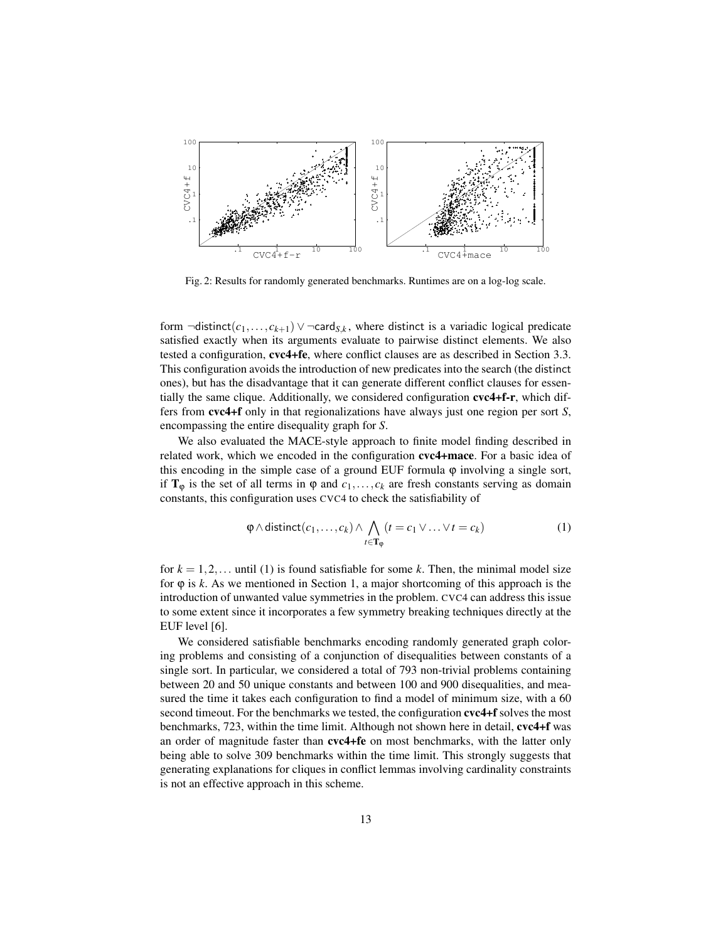

Fig. 2: Results for randomly generated benchmarks. Runtimes are on a log-log scale.

form  $\neg$ distinct( $c_1, \ldots, c_{k+1}$ ) ∨  $\neg$ card<sub>*S*,*k*</sub>, where distinct is a variadic logical predicate satisfied exactly when its arguments evaluate to pairwise distinct elements. We also tested a configuration, cvc4+fe, where conflict clauses are as described in Section 3.3. This configuration avoids the introduction of new predicates into the search (the distinct ones), but has the disadvantage that it can generate different conflict clauses for essentially the same clique. Additionally, we considered configuration cvc4+f-r, which differs from cvc4+f only in that regionalizations have always just one region per sort *S*, encompassing the entire disequality graph for *S*.

We also evaluated the MACE-style approach to finite model finding described in related work, which we encoded in the configuration cvc4+mace. For a basic idea of this encoding in the simple case of a ground EUF formula  $\varphi$  involving a single sort, if  $T_{\varphi}$  is the set of all terms in  $\varphi$  and  $c_1, \ldots, c_k$  are fresh constants serving as domain constants, this configuration uses CVC4 to check the satisfiability of

$$
\varphi \wedge \text{distinct}(c_1, \ldots, c_k) \wedge \bigwedge_{t \in \mathbf{T}_{\varphi}} (t = c_1 \vee \ldots \vee t = c_k)
$$
 (1)

for  $k = 1, 2, \ldots$  until (1) is found satisfiable for some k. Then, the minimal model size for  $\varphi$  is *k*. As we mentioned in Section 1, a major shortcoming of this approach is the introduction of unwanted value symmetries in the problem. CVC4 can address this issue to some extent since it incorporates a few symmetry breaking techniques directly at the EUF level [6].

We considered satisfiable benchmarks encoding randomly generated graph coloring problems and consisting of a conjunction of disequalities between constants of a single sort. In particular, we considered a total of 793 non-trivial problems containing between 20 and 50 unique constants and between 100 and 900 disequalities, and measured the time it takes each configuration to find a model of minimum size, with a 60 second timeout. For the benchmarks we tested, the configuration cvc4+f solves the most benchmarks, 723, within the time limit. Although not shown here in detail, cvc4+f was an order of magnitude faster than cvc4+fe on most benchmarks, with the latter only being able to solve 309 benchmarks within the time limit. This strongly suggests that generating explanations for cliques in conflict lemmas involving cardinality constraints is not an effective approach in this scheme.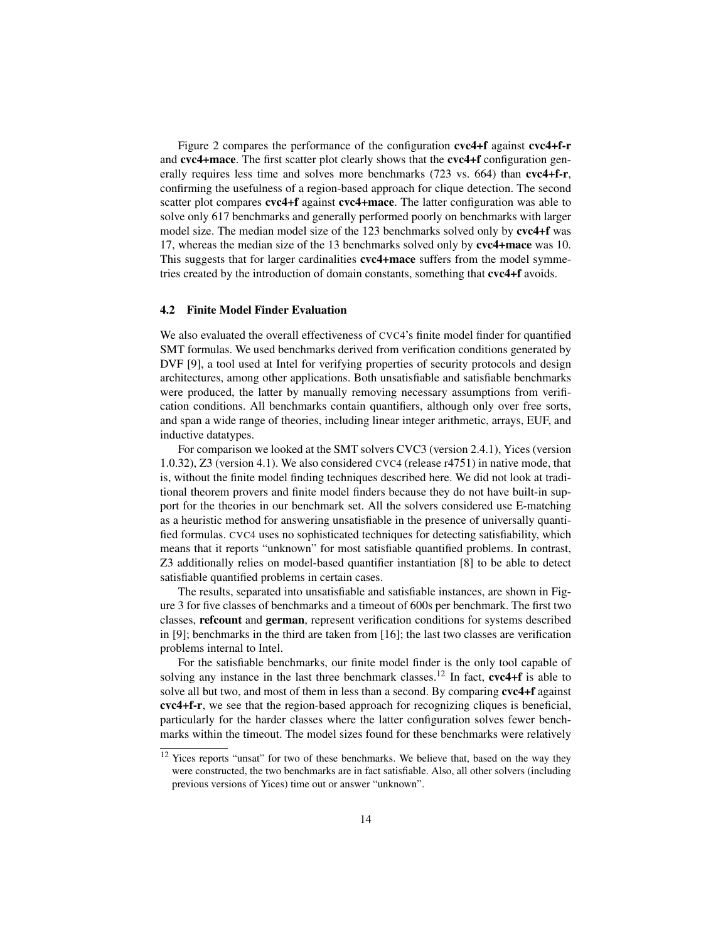Figure 2 compares the performance of the configuration cvc4+f against cvc4+f-r and cvc4+mace. The first scatter plot clearly shows that the cvc4+f configuration generally requires less time and solves more benchmarks  $(723 \text{ vs. } 664)$  than cvc4+f-r, confirming the usefulness of a region-based approach for clique detection. The second scatter plot compares cvc4+f against cvc4+mace. The latter configuration was able to solve only 617 benchmarks and generally performed poorly on benchmarks with larger model size. The median model size of the 123 benchmarks solved only by cvc4+f was 17, whereas the median size of the 13 benchmarks solved only by cvc4+mace was 10. This suggests that for larger cardinalities **cvc4+mace** suffers from the model symmetries created by the introduction of domain constants, something that cvc4+f avoids.

## 4.2 Finite Model Finder Evaluation

We also evaluated the overall effectiveness of CVC4's finite model finder for quantified SMT formulas. We used benchmarks derived from verification conditions generated by DVF [9], a tool used at Intel for verifying properties of security protocols and design architectures, among other applications. Both unsatisfiable and satisfiable benchmarks were produced, the latter by manually removing necessary assumptions from verification conditions. All benchmarks contain quantifiers, although only over free sorts, and span a wide range of theories, including linear integer arithmetic, arrays, EUF, and inductive datatypes.

For comparison we looked at the SMT solvers CVC3 (version 2.4.1), Yices (version 1.0.32), Z3 (version 4.1). We also considered CVC4 (release r4751) in native mode, that is, without the finite model finding techniques described here. We did not look at traditional theorem provers and finite model finders because they do not have built-in support for the theories in our benchmark set. All the solvers considered use E-matching as a heuristic method for answering unsatisfiable in the presence of universally quantified formulas. CVC4 uses no sophisticated techniques for detecting satisfiability, which means that it reports "unknown" for most satisfiable quantified problems. In contrast, Z3 additionally relies on model-based quantifier instantiation [8] to be able to detect satisfiable quantified problems in certain cases.

The results, separated into unsatisfiable and satisfiable instances, are shown in Figure 3 for five classes of benchmarks and a timeout of 600s per benchmark. The first two classes, refcount and german, represent verification conditions for systems described in [9]; benchmarks in the third are taken from [16]; the last two classes are verification problems internal to Intel.

For the satisfiable benchmarks, our finite model finder is the only tool capable of solving any instance in the last three benchmark classes.<sup>12</sup> In fact,  $\text{cvc4+f}$  is able to solve all but two, and most of them in less than a second. By comparing cvc4+f against cvc4+f-r, we see that the region-based approach for recognizing cliques is beneficial, particularly for the harder classes where the latter configuration solves fewer benchmarks within the timeout. The model sizes found for these benchmarks were relatively

<sup>&</sup>lt;sup>12</sup> Yices reports "unsat" for two of these benchmarks. We believe that, based on the way they were constructed, the two benchmarks are in fact satisfiable. Also, all other solvers (including previous versions of Yices) time out or answer "unknown".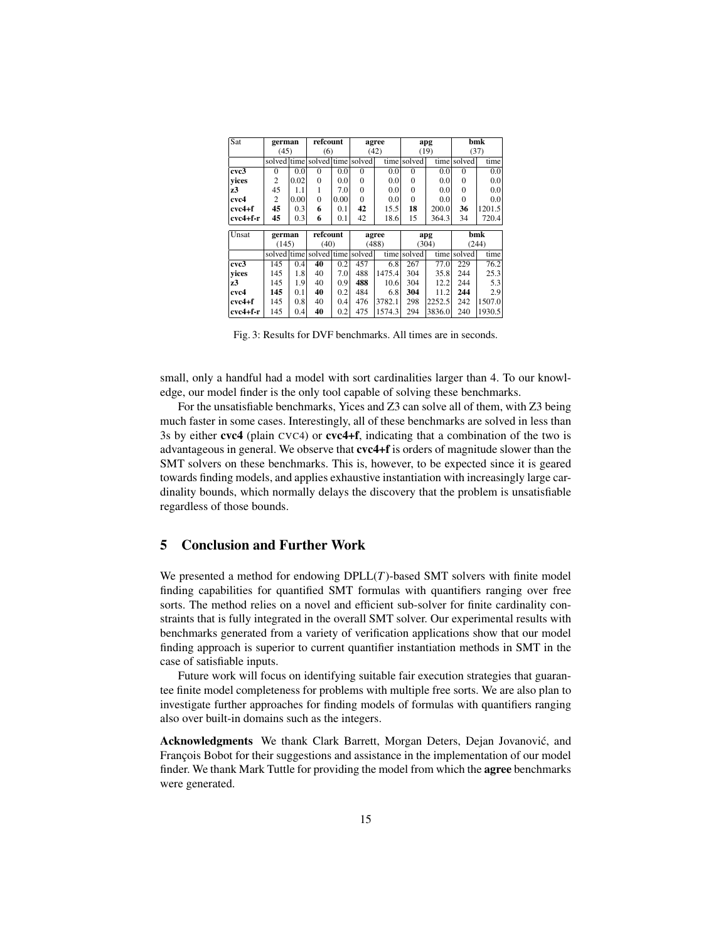| Sat               | german<br>(45) |      | refcount<br>(6) |      | agree<br>(42)                  |        | apg<br>(19)  |        | bmk<br>(37) |          |
|-------------------|----------------|------|-----------------|------|--------------------------------|--------|--------------|--------|-------------|----------|
|                   |                |      |                 |      |                                |        |              |        |             |          |
|                   |                |      |                 |      | solved time solved time solved |        | time solved  | time   | solved      | time     |
| cvc3              | $\theta$       | 0.0  | $\Omega$        | 0.0  | $\Omega$                       | 0.0    | $\theta$     | 0.0    | $\Omega$    | 0.0      |
| vices             | $\overline{c}$ | 0.02 | $\Omega$        | 0.0  | $\Omega$                       | 0.0    | $\theta$     | 0.0    | $\Omega$    | $_{0.0}$ |
| z3                | 45             | 1.1  | 1               | 7.0  | $\Omega$                       | 0.0    | $\mathbf{0}$ | 0.0    | $\Omega$    | 0.0      |
| cvc4              | $\overline{c}$ | 0.00 | $\Omega$        | 0.00 | $\Omega$                       | 0.0    | $\Omega$     | 0.0    | $\Omega$    | 0.0      |
| $cvc4+f$          | 45             | 0.3  | 6               | 0.1  | 42                             | 15.5   | 18           | 200.0  | 36          | 1201.5   |
| $\text{cvc4+f-r}$ | 45             | 0.3  | 6               | 0.1  | 42                             | 18.6   | 15           | 364.3  | 34          | 720.4    |
|                   |                |      |                 |      |                                |        |              |        |             |          |
|                   |                |      |                 |      |                                |        |              |        |             |          |
| Unsat             | german         |      | refcount        |      |                                | agree  |              | apg    |             | bmk      |
|                   | (145)          |      | (40)            |      |                                | (488)  |              | (304)  |             | (244)    |
|                   |                |      |                 |      | solved time solved time solved |        | time solved  | time   | solved      | time     |
| cvc3              | 145            | 0.4  | 40              | 0.2  | 457                            | 6.8    | 267          | 77.0   | 229         | 76.2     |
| vices             | 145            | 1.8  | 40              | 7.0  | 488                            | 1475.4 | 304          | 35.8   | 244         | 25.3     |
| z3                | 145            | 1.9  | 40              | 0.9  | 488                            | 10.6   | 304          | 12.2   | 244         | 5.3      |
| cvc4              | 145            | 0.1  | 40              | 0.2  | 484                            | 6.8    | 304          | 11.2   | 244         | 2.9      |
| $cvc4+f$          | 145            | 0.8  | 40              | 0.4  | 476                            | 3782.1 | 298          | 2252.5 | 242         | 1507.0   |

Fig. 3: Results for DVF benchmarks. All times are in seconds.

small, only a handful had a model with sort cardinalities larger than 4. To our knowledge, our model finder is the only tool capable of solving these benchmarks.

For the unsatisfiable benchmarks, Yices and Z3 can solve all of them, with Z3 being much faster in some cases. Interestingly, all of these benchmarks are solved in less than 3s by either  $\text{cvc4}$  (plain CVC4) or  $\text{cvc4+f}$ , indicating that a combination of the two is advantageous in general. We observe that cvc4+f is orders of magnitude slower than the SMT solvers on these benchmarks. This is, however, to be expected since it is geared towards finding models, and applies exhaustive instantiation with increasingly large cardinality bounds, which normally delays the discovery that the problem is unsatisfiable regardless of those bounds.

# 5 Conclusion and Further Work

We presented a method for endowing DPLL(*T*)-based SMT solvers with finite model finding capabilities for quantified SMT formulas with quantifiers ranging over free sorts. The method relies on a novel and efficient sub-solver for finite cardinality constraints that is fully integrated in the overall SMT solver. Our experimental results with benchmarks generated from a variety of verification applications show that our model finding approach is superior to current quantifier instantiation methods in SMT in the case of satisfiable inputs.

Future work will focus on identifying suitable fair execution strategies that guarantee finite model completeness for problems with multiple free sorts. We are also plan to investigate further approaches for finding models of formulas with quantifiers ranging also over built-in domains such as the integers.

Acknowledgments We thank Clark Barrett, Morgan Deters, Dejan Jovanović, and François Bobot for their suggestions and assistance in the implementation of our model finder. We thank Mark Tuttle for providing the model from which the agree benchmarks were generated.